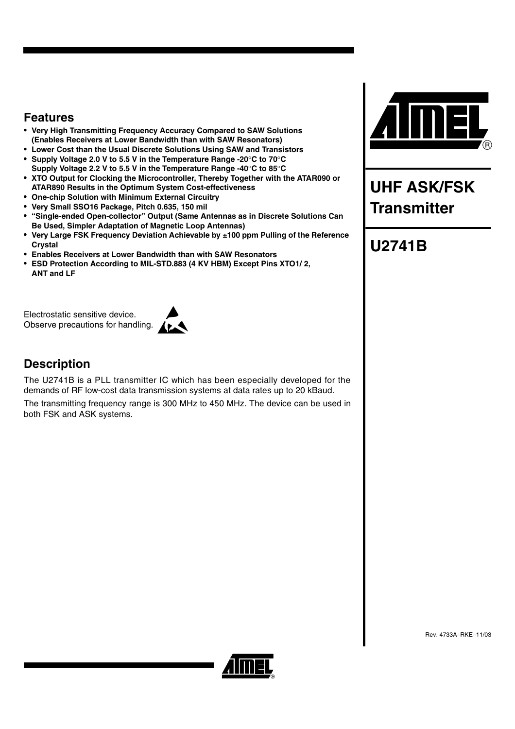### **Features**

- **Very High Transmitting Frequency Accuracy Compared to SAW Solutions (Enables Receivers at Lower Bandwidth than with SAW Resonators)**
- **Lower Cost than the Usual Discrete Solutions Using SAW and Transistors**
- **Supply Voltage 2.0 V to 5.5 V in the Temperature Range -20C to 70C Supply Voltage 2.2 V to 5.5 V in the Temperature Range -40C to 85C**
- **XTO Output for Clocking the Microcontroller, Thereby Together with the ATAR090 or ATAR890 Results in the Optimum System Cost-effectiveness**
- **One-chip Solution with Minimum External Circuitry**
- **Very Small SSO16 Package, Pitch 0.635, 150 mil**
- **"Single-ended Open-collector" Output (Same Antennas as in Discrete Solutions Can Be Used, Simpler Adaptation of Magnetic Loop Antennas)**
- **Very Large FSK Frequency Deviation Achievable by ±100 ppm Pulling of the Reference Crystal**
- **Enables Receivers at Lower Bandwidth than with SAW Resonators**
- **ESD Protection According to MIL-STD.883 (4 KV HBM) Except Pins XTO1/ 2, ANT and LF**

Electrostatic sensitive device. Observe precautions for handling.



### **Description**

The U2741B is a PLL transmitter IC which has been especially developed for the demands of RF low-cost data transmission systems at data rates up to 20 kBaud.

The transmitting frequency range is 300 MHz to 450 MHz. The device can be used in both FSK and ASK systems.



# **UHF ASK/FSK Transmitter**

# **U2741B**



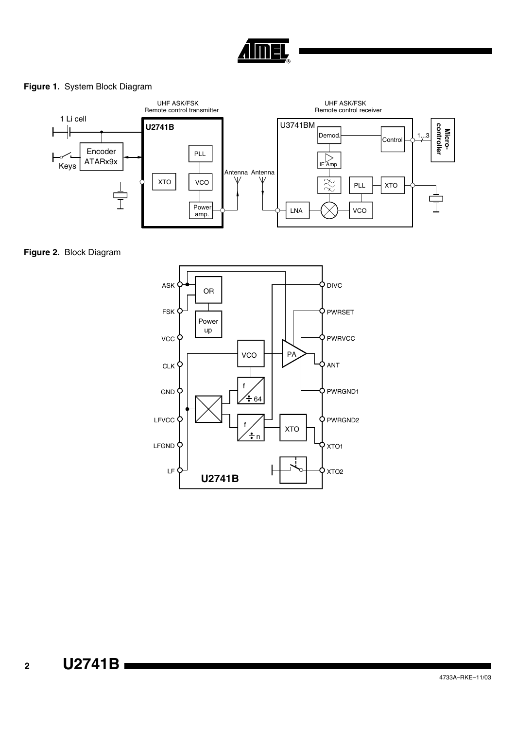

### **Figure 1.** System Block Diagram



**Figure 2.** Block Diagram

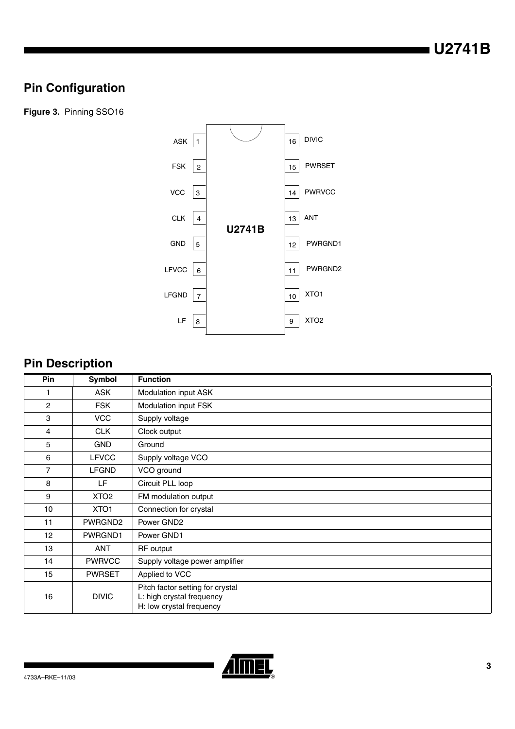# **Pin Configuration**

**Figure 3.** Pinning SSO16



# **Pin Description**

| Pin            | Symbol              | <b>Function</b>                                                                           |
|----------------|---------------------|-------------------------------------------------------------------------------------------|
| 1              | <b>ASK</b>          | Modulation input ASK                                                                      |
| $\overline{c}$ | <b>FSK</b>          | Modulation input FSK                                                                      |
| 3              | <b>VCC</b>          | Supply voltage                                                                            |
| 4              | <b>CLK</b>          | Clock output                                                                              |
| 5              | <b>GND</b>          | Ground                                                                                    |
| 6              | <b>LFVCC</b>        | Supply voltage VCO                                                                        |
| $\overline{7}$ | <b>LFGND</b>        | VCO ground                                                                                |
| 8              | LF.                 | Circuit PLL loop                                                                          |
| 9              | XTO <sub>2</sub>    | FM modulation output                                                                      |
| 10             | XTO <sub>1</sub>    | Connection for crystal                                                                    |
| 11             | PWRGND <sub>2</sub> | Power GND2                                                                                |
| 12             | PWRGND1             | Power GND1                                                                                |
| 13             | ANT                 | RF output                                                                                 |
| 14             | <b>PWRVCC</b>       | Supply voltage power amplifier                                                            |
| 15             | <b>PWRSET</b>       | Applied to VCC                                                                            |
| 16             | <b>DIVIC</b>        | Pitch factor setting for crystal<br>L: high crystal frequency<br>H: low crystal frequency |

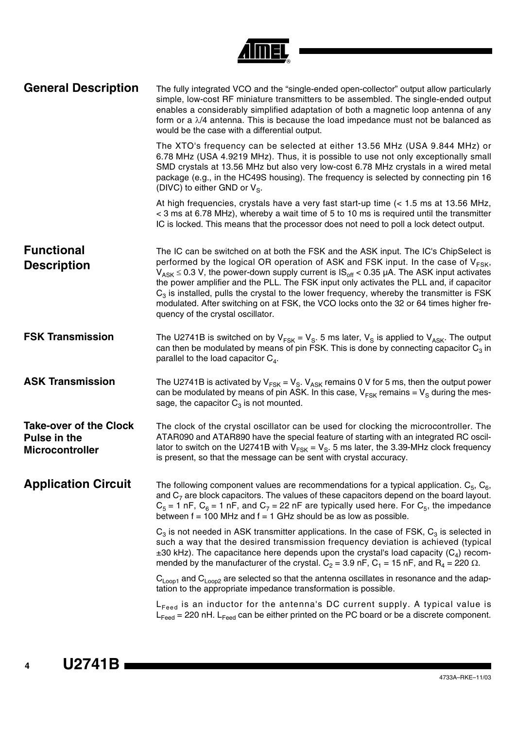| <b>General Description</b>                                       | The fully integrated VCO and the "single-ended open-collector" output allow particularly<br>simple, low-cost RF miniature transmitters to be assembled. The single-ended output<br>enables a considerably simplified adaptation of both a magnetic loop antenna of any<br>form or a $\lambda/4$ antenna. This is because the load impedance must not be balanced as<br>would be the case with a differential output.                                                                                                                                                                                                   |
|------------------------------------------------------------------|------------------------------------------------------------------------------------------------------------------------------------------------------------------------------------------------------------------------------------------------------------------------------------------------------------------------------------------------------------------------------------------------------------------------------------------------------------------------------------------------------------------------------------------------------------------------------------------------------------------------|
|                                                                  | The XTO's frequency can be selected at either 13.56 MHz (USA 9.844 MHz) or<br>6.78 MHz (USA 4.9219 MHz). Thus, it is possible to use not only exceptionally small<br>SMD crystals at 13.56 MHz but also very low-cost 6.78 MHz crystals in a wired metal<br>package (e.g., in the HC49S housing). The frequency is selected by connecting pin 16<br>(DIVC) to either GND or $V_{\rm S}$ .                                                                                                                                                                                                                              |
|                                                                  | At high frequencies, crystals have a very fast start-up time (< 1.5 ms at 13.56 MHz,<br>< 3 ms at 6.78 MHz), whereby a wait time of 5 to 10 ms is required until the transmitter<br>IC is locked. This means that the processor does not need to poll a lock detect output.                                                                                                                                                                                                                                                                                                                                            |
| <b>Functional</b><br><b>Description</b>                          | The IC can be switched on at both the FSK and the ASK input. The IC's ChipSelect is<br>performed by the logical OR operation of ASK and FSK input. In the case of V <sub>FSK</sub> ,<br>$V_{ASK} \le 0.3$ V, the power-down supply current is $IS_{off} < 0.35$ µA. The ASK input activates<br>the power amplifier and the PLL. The FSK input only activates the PLL and, if capacitor<br>$C_3$ is installed, pulls the crystal to the lower frequency, whereby the transmitter is FSK<br>modulated. After switching on at FSK, the VCO locks onto the 32 or 64 times higher fre-<br>quency of the crystal oscillator. |
| <b>FSK Transmission</b>                                          | The U2741B is switched on by $V_{FSK} = V_S$ . 5 ms later, $V_S$ is applied to $V_{ASK}$ . The output<br>can then be modulated by means of pin FSK. This is done by connecting capacitor $C_3$ in<br>parallel to the load capacitor $C_4$ .                                                                                                                                                                                                                                                                                                                                                                            |
| <b>ASK Transmission</b>                                          | The U2741B is activated by $V_{FSK} = V_{S}$ . $V_{ASK}$ remains 0 V for 5 ms, then the output power<br>can be modulated by means of pin ASK. In this case, $V_{FSK}$ remains = $V_S$ during the mes-<br>sage, the capacitor $C_3$ is not mounted.                                                                                                                                                                                                                                                                                                                                                                     |
| <b>Take-over of the Clock</b><br>Pulse in the<br>Microcontroller | The clock of the crystal oscillator can be used for clocking the microcontroller. The<br>ATAR090 and ATAR890 have the special feature of starting with an integrated RC oscil-<br>lator to switch on the U2741B with $V_{FSK} = V_S$ . 5 ms later, the 3.39-MHz clock frequency<br>is present, so that the message can be sent with crystal accuracy.                                                                                                                                                                                                                                                                  |
| <b>Application Circuit</b>                                       | The following component values are recommendations for a typical application. $C_5$ , $C_6$ ,<br>and $C_7$ are block capacitors. The values of these capacitors depend on the board layout.<br>$C_5$ = 1 nF, $C_6$ = 1 nF, and $C_7$ = 22 nF are typically used here. For $C_5$ , the impedance<br>between $f = 100$ MHz and $f = 1$ GHz should be as low as possible.                                                                                                                                                                                                                                                 |
|                                                                  | $C_3$ is not needed in ASK transmitter applications. In the case of FSK, $C_3$ is selected in<br>such a way that the desired transmission frequency deviation is achieved (typical<br>$\pm 30$ kHz). The capacitance here depends upon the crystal's load capacity (C <sub>4</sub> ) recom-<br>mended by the manufacturer of the crystal. $C_2 = 3.9$ nF, $C_1 = 15$ nF, and R <sub>4</sub> = 220 $\Omega$ .                                                                                                                                                                                                           |
|                                                                  | $C_{\text{Loop1}}$ and $C_{\text{Loop2}}$ are selected so that the antenna oscillates in resonance and the adap-<br>tation to the appropriate impedance transformation is possible.                                                                                                                                                                                                                                                                                                                                                                                                                                    |
|                                                                  | $L_{\text{feed}}$ is an inductor for the antenna's DC current supply. A typical value is<br>$L_{\text{feed}}$ = 220 nH. $L_{\text{feed}}$ can be either printed on the PC board or be a discrete component.                                                                                                                                                                                                                                                                                                                                                                                                            |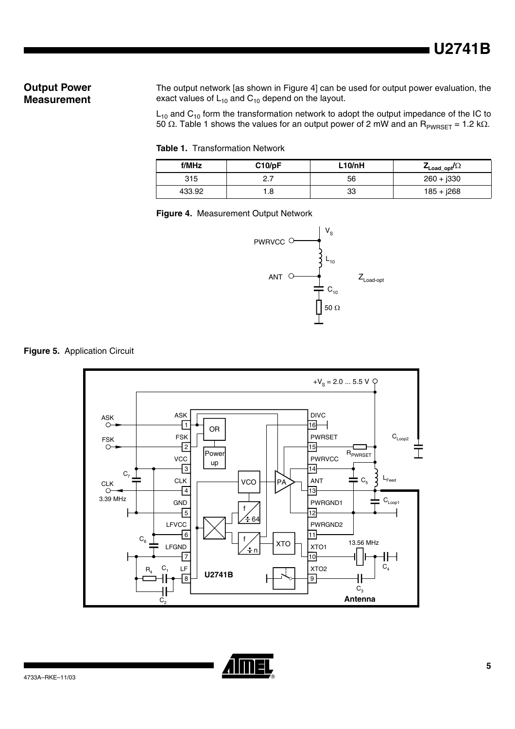### **Output Power Measurement**

The output network [as shown in [Figure 4](#page-4-0)] can be used for output power evaluation, the exact values of  $L_{10}$  and  $C_{10}$  depend on the layout.

 $\mathsf{L}_{10}$  and  $\mathsf{C}_{10}$  form the transformation network to adopt the output impedance of the IC to 50  $\Omega$ . [Table 1](#page-4-1) shows the values for an output power of 2 mW and an  $\mathsf{R}_{\mathsf{PWRSET}}$  = 1.2 k $\Omega$ .

<span id="page-4-1"></span>**Table 1.** Transformation Network

| f/MHz  | C10/pF   | L10/nH | $\mathcal{L}_{\mathsf{Load\_opt}}$ / $\Omega$ |
|--------|----------|--------|-----------------------------------------------|
| 315    | <u>.</u> | 56     | $260 + j330$                                  |
| 433.92 | 8.       | 33     | $185 + j268$                                  |

<span id="page-4-0"></span>**Figure 4.** Measurement Output Network







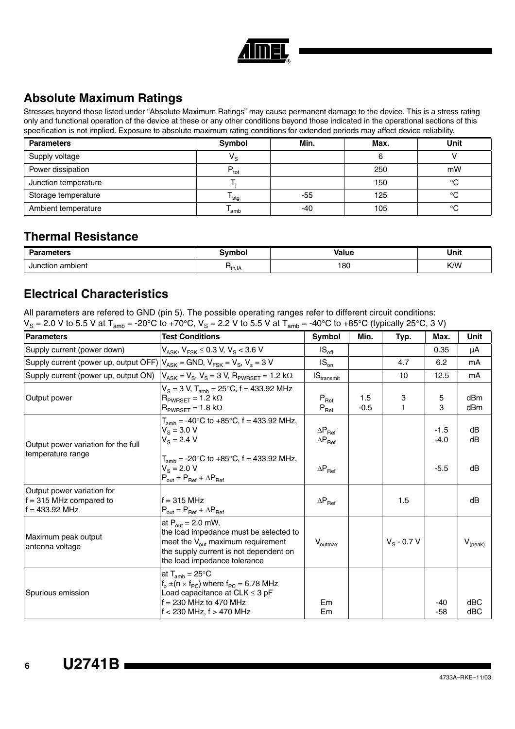

# **Absolute Maximum Ratings**

Stresses beyond those listed under "Absolute Maximum Ratings" may cause permanent damage to the device. This is a stress rating only and functional operation of the device at these or any other conditions beyond those indicated in the operational sections of this specification is not implied. Exposure to absolute maximum rating conditions for extended periods may affect device reliability.

| <b>Parameters</b>    | Symbol                  | Min. | Max. | <b>Unit</b> |
|----------------------|-------------------------|------|------|-------------|
| Supply voltage       | $\mathsf{V}_\mathsf{S}$ |      |      |             |
| Power dissipation    | $P_{\text{tot}}$        |      | 250  | mW          |
| Junction temperature |                         |      | 150  | $\circ$     |
| Storage temperature  | <sup>I</sup> stg        | -55  | 125  | $\circ$     |
| Ambient temperature  | 'amb                    | -40  | 105  | $\circ$     |

### **Thermal Resistance**

| -------<br>Oo w<br>еιе : | <b>Value</b><br>The case is well |     | Unit |  |
|--------------------------|----------------------------------|-----|------|--|
| ambient<br>Junction      | <sup>th</sup> JA                 | 180 | K/W  |  |

### **Electrical Characteristics**

All parameters are refered to GND (pin 5). The possible operating ranges refer to different circuit conditions:  $V_S = 2.0$  V to 5.5 V at T<sub>amb</sub> = -20°C to +70°C, V<sub>S</sub> = 2.2 V to 5.5 V at T<sub>amb</sub> = -40°C to +85°C (typically 25°C, 3 V)

| <b>Parameters</b>                                                                       | <b>Test Conditions</b>                                                                                                                                                                      | Symbol                                             | Min.          | Typ.          | Max.             | <b>Unit</b>      |
|-----------------------------------------------------------------------------------------|---------------------------------------------------------------------------------------------------------------------------------------------------------------------------------------------|----------------------------------------------------|---------------|---------------|------------------|------------------|
| Supply current (power down)                                                             | $V_{ASK}$ , $V_{FSK} \le 0.3$ V, $V_S < 3.6$ V                                                                                                                                              | $IS_{\text{off}}$                                  |               |               | 0.35             | μA               |
| Supply current (power up, output OFF) $ V_{ASK}$ = GND, $V_{FSK}$ = $V_S$ , $V_s$ = 3 V |                                                                                                                                                                                             | $IS_{on}$                                          |               | 4.7           | 6.2              | mA               |
| Supply current (power up, output ON)                                                    | $V_{ASK} = V_S$ , $V_S = 3 V$ , $R_{PWBSFT} = 1.2 k\Omega$                                                                                                                                  | $\textsf{IS}_{\text{transmit}}$                    |               | 10            | 12.5             | mA               |
| Output power                                                                            | $V_S = 3 V$ , $T_{amb} = 25^{\circ}C$ , f = 433.92 MHz<br>$R_{PWRSET} = 1.2 k\Omega$<br>$R_{PWRSET} = 1.8 k\Omega$                                                                          | $P_{\text{Ref}}$<br>$\mathsf{P}_{\mathsf{Ref}}$    | 1.5<br>$-0.5$ | 3<br>1        | 5<br>3           | dBm<br>dBm       |
| Output power variation for the full<br>temperature range                                | $T_{amb}$ = -40°C to +85°C, f = 433.92 MHz,<br>$V_{\rm s} = 3.0 \text{ V}$<br>$V_s = 2.4 V$                                                                                                 | $\Delta P_{\text{Ref}}$<br>$\Delta P_{\text{Ref}}$ |               |               | $-1.5$<br>$-4.0$ | dB<br>dB         |
|                                                                                         | $T_{amb}$ = -20°C to +85°C, f = 433.92 MHz,<br>$V_{\rm s}$ = 2.0 V<br>$P_{out} = P_{Ref} + \Delta P_{Ref}$                                                                                  | $\Delta P_{\text{Ref}}$                            |               |               | $-5.5$           | dB               |
| Output power variation for<br>$f = 315$ MHz compared to<br>$f = 433.92$ MHz             | $f = 315$ MHz<br>$P_{\text{out}} = P_{\text{Ref}} + \Delta P_{\text{Ref}}$                                                                                                                  | $\Delta P_{\text{Ref}}$                            |               | 1.5           |                  | dB               |
| Maximum peak output<br>antenna voltage                                                  | at $P_{out}$ = 2.0 mW,<br>the load impedance must be selected to<br>meet the $V_{\text{out}}$ maximum requirement<br>the supply current is not dependent on<br>the load impedance tolerance | $V_{\text{outmax}}$                                |               | $V_S - 0.7 V$ |                  | $V_{\rm (peak)}$ |
| Spurious emission                                                                       | at $T_{amb} = 25^{\circ}C$<br>$f_0 \pm (n \times f_{PC})$ where $f_{PC} = 6.78$ MHz<br>Load capacitance at $CLK \leq 3$ pF<br>$f = 230$ MHz to 470 MHz<br>$f < 230$ MHz, $f > 470$ MHz      | Em<br>Em                                           |               |               | -40<br>$-58$     | dBC<br>dBC       |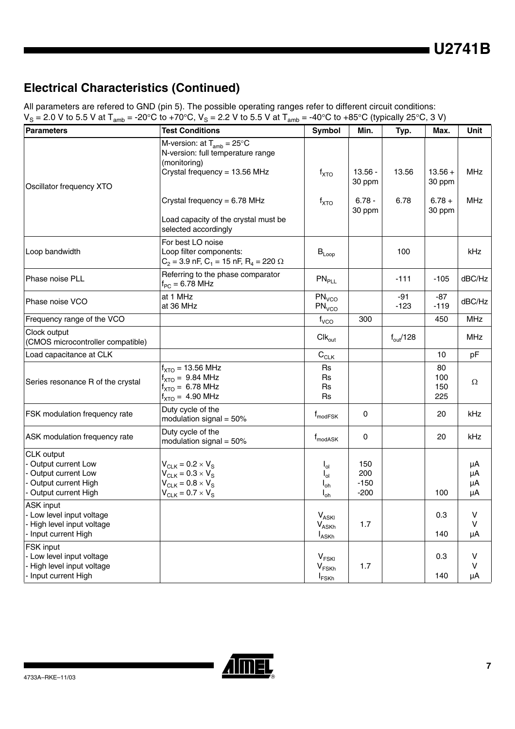**U2741B**

### **Electrical Characteristics (Continued)**

All parameters are refered to GND (pin 5). The possible operating ranges refer to different circuit conditions:  $V_S = 2.0$  V to 5.5 V at T<sub>amb</sub> = -20°C to +70°C,  $V_S = 2.2$  V to 5.5 V at T<sub>amb</sub> = -40°C to +85°C (typically 25°C, 3 V)

| <b>Parameters</b>                                                                                            | <b>Test Conditions</b>                                                                                                                            | Symbol                                                                 | Min.                           | Typ.                 | Max.                    | Unit                 |
|--------------------------------------------------------------------------------------------------------------|---------------------------------------------------------------------------------------------------------------------------------------------------|------------------------------------------------------------------------|--------------------------------|----------------------|-------------------------|----------------------|
|                                                                                                              | M-version: at $T_{amb} = 25^{\circ}C$<br>N-version: full temperature range<br>(monitoring)                                                        |                                                                        |                                |                      |                         |                      |
| Oscillator frequency XTO                                                                                     | Crystal frequency = 13.56 MHz                                                                                                                     | $f_{\text{XTO}}$                                                       | $13.56 -$<br>30 ppm            | 13.56                | $13.56 +$<br>30 ppm     | <b>MHz</b>           |
|                                                                                                              | Crystal frequency = $6.78$ MHz                                                                                                                    | $f_{\text{XTO}}$                                                       | $6.78 -$<br>30 ppm             | 6.78                 | $6.78 +$<br>30 ppm      | <b>MHz</b>           |
|                                                                                                              | Load capacity of the crystal must be<br>selected accordingly                                                                                      |                                                                        |                                |                      |                         |                      |
| Loop bandwidth                                                                                               | For best LO noise<br>Loop filter components:<br>$C_2$ = 3.9 nF, C <sub>1</sub> = 15 nF, R <sub>4</sub> = 220 $\Omega$                             | $\mathsf{B}_{\mathsf{Loop}}$                                           |                                | 100                  |                         | <b>kHz</b>           |
| Phase noise PLL                                                                                              | Referring to the phase comparator<br>$f_{PC} = 6.78$ MHz                                                                                          | PN <sub>PLL</sub>                                                      |                                | $-111$               | $-105$                  | dBC/Hz               |
| Phase noise VCO                                                                                              | at 1 MHz<br>at 36 MHz                                                                                                                             | PN <sub>VCO</sub><br>PN <sub>VCO</sub>                                 |                                | -91<br>$-123$        | -87<br>$-119$           | dBC/Hz               |
| Frequency range of the VCO                                                                                   |                                                                                                                                                   | f <sub>VCO</sub>                                                       | 300                            |                      | 450                     | <b>MHz</b>           |
| Clock output<br>(CMOS microcontroller compatible)                                                            |                                                                                                                                                   | $Clk_{out}$                                                            |                                | $f_{\text{out}}/128$ |                         | <b>MHz</b>           |
| Load capacitance at CLK                                                                                      |                                                                                                                                                   | $C_{CLK}$                                                              |                                |                      | 10                      | pF                   |
| Series resonance R of the crystal                                                                            | $f_{\text{XTO}}$ = 13.56 MHz<br>$f_{\text{XTO}} = 9.84 \text{ MHz}$<br>$f_{\text{XTO}} = 6.78 \text{ MHz}$<br>$f_{\text{XTO}} = 4.90 \text{ MHz}$ | <b>Rs</b><br><b>Rs</b><br><b>Rs</b><br><b>Rs</b>                       |                                |                      | 80<br>100<br>150<br>225 | Ω                    |
| FSK modulation frequency rate                                                                                | Duty cycle of the<br>modulation signal = $50\%$                                                                                                   | $f_{\text{modFSK}}$                                                    | 0                              |                      | 20                      | kHz                  |
| ASK modulation frequency rate                                                                                | Duty cycle of the<br>modulation signal = $50\%$                                                                                                   | $f_{\text{modASK}}$                                                    | 0                              |                      | 20                      | kHz                  |
| CLK output<br>- Output current Low<br>- Output current Low<br>- Output current High<br>- Output current High | $V_{CLK}$ = 0.2 $\times$ $V_S$<br>$V_{CLK} = 0.3 \times V_S$<br>$V_{CLK} = 0.8 \times V_S$<br>$V_{CLK} = 0.7 \times V_S$                          | $I_{ol}$<br>$I_{ol}$<br>$I_{oh}$<br>$I_{oh}$                           | 150<br>200<br>$-150$<br>$-200$ |                      | 100                     | μA<br>μA<br>μA<br>μA |
| ASK input<br>- Low level input voltage<br>- High level input voltage<br>- Input current High                 |                                                                                                                                                   | $V_{ASKI}$<br>$\mathsf{V}_{\mathsf{ASKh}}$<br><b>I</b> <sub>ASKh</sub> | 1.7                            |                      | 0.3<br>140              | V<br>$\vee$<br>μA    |
| FSK input<br>- Low level input voltage<br>- High level input voltage<br>- Input current High                 |                                                                                                                                                   | $V_{FSKI}$<br>$\mathsf{V}_{\mathsf{FSKh}}$<br><b>I</b> <sub>FSKh</sub> | 1.7                            |                      | 0.3<br>140              | V<br>V<br>μA         |

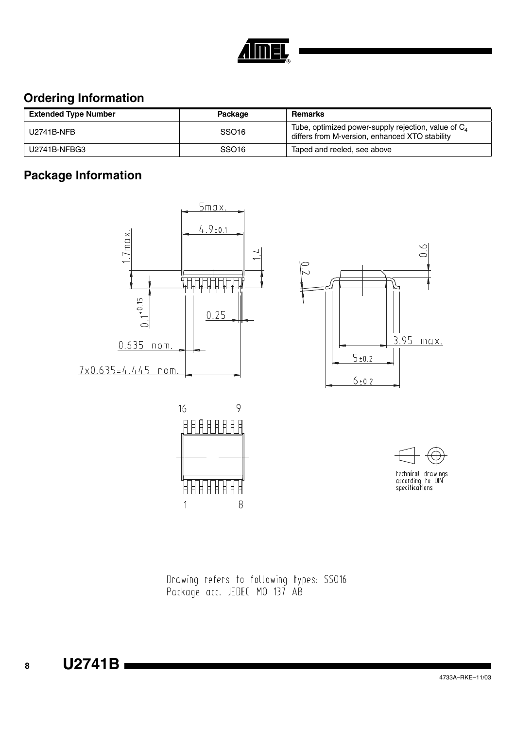

## **Ordering Information**

| <b>Extended Type Number</b> | Package           | <b>Remarks</b>                                                                                           |
|-----------------------------|-------------------|----------------------------------------------------------------------------------------------------------|
| U2741B-NFB                  | SSO <sub>16</sub> | Tube, optimized power-supply rejection, value of $C_4$<br>differs from M-version, enhanced XTO stability |
| U2741B-NFBG3                | SSO <sub>16</sub> | Taped and reeled, see above                                                                              |

# **Package Information**



18888

Ħ

 $\mathbf{1}$ 

ĦĦ

Ħ 8





 $\infty$ 

 $\subset$ 

technical drawings<br>according to DIN<br>specifications